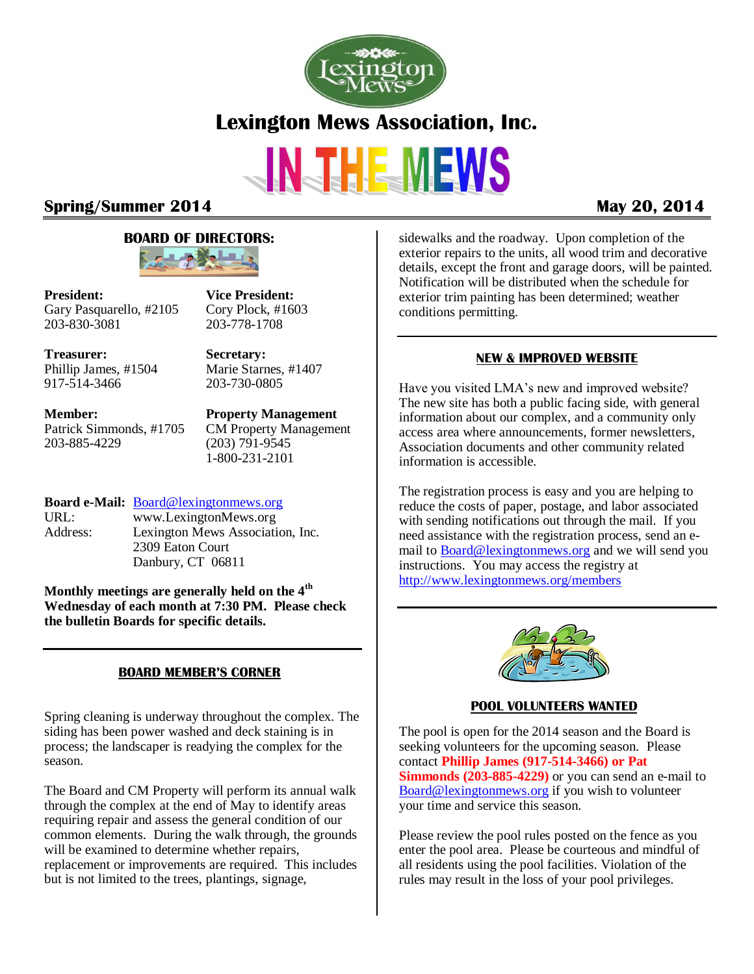

# **Spring/Summer 2014 May 20, 2014**

## **BOARD OF DIRECTORS:**



**President:** Gary Pasquarello, #2105 203-830-3081

Cory Plock, #1603 203-778-1708

**Vice President:**

**Treasurer:** Phillip James, #1504 917-514-3466

**Secretary:** Marie Starnes, #1407 203-730-0805

**Member:** Patrick Simmonds, #1705 203-885-4229

**Property Management** CM Property Management (203) 791-9545 1-800-231-2101

## **Board e-Mail:** [Board@lexingtonmews.org](mailto:board@lexingtonmews.org)

URL: www.LexingtonMews.org Address: Lexington Mews Association, Inc. 2309 Eaton Court Danbury, CT 06811

**Monthly meetings are generally held on the 4th Wednesday of each month at 7:30 PM. Please check the bulletin Boards for specific details.**

# **BOARD MEMBER'S CORNER**

Spring cleaning is underway throughout the complex. The siding has been power washed and deck staining is in process; the landscaper is readying the complex for the season.

The Board and CM Property will perform its annual walk through the complex at the end of May to identify areas requiring repair and assess the general condition of our common elements. During the walk through, the grounds will be examined to determine whether repairs, replacement or improvements are required. This includes but is not limited to the trees, plantings, signage,

sidewalks and the roadway. Upon completion of the exterior repairs to the units, all wood trim and decorative details, except the front and garage doors, will be painted. Notification will be distributed when the schedule for exterior trim painting has been determined; weather conditions permitting.

## **NEW & IMPROVED WEBSITE**

Have you visited LMA's new and improved website? The new site has both a public facing side, with general information about our complex, and a community only access area where announcements, former newsletters, Association documents and other community related information is accessible.

The registration process is easy and you are helping to reduce the costs of paper, postage, and labor associated with sending notifications out through the mail. If you need assistance with the registration process, send an email t[o Board@lexingtonmews.org](mailto:board@lexingtonmews.org) and we will send you instructions. You may access the registry at <http://www.lexingtonmews.org/members>



# **POOL VOLUNTEERS WANTED**

The pool is open for the 2014 season and the Board is seeking volunteers for the upcoming season. Please contact **Phillip James (917-514-3466) or Pat Simmonds (203-885-4229)** or you can send an e-mail to [Board@lexingtonmews.org](mailto:board@lexingtonmews.org) if you wish to volunteer your time and service this season.

Please review the pool rules posted on the fence as you enter the pool area. Please be courteous and mindful of all residents using the pool facilities. Violation of the rules may result in the loss of your pool privileges.